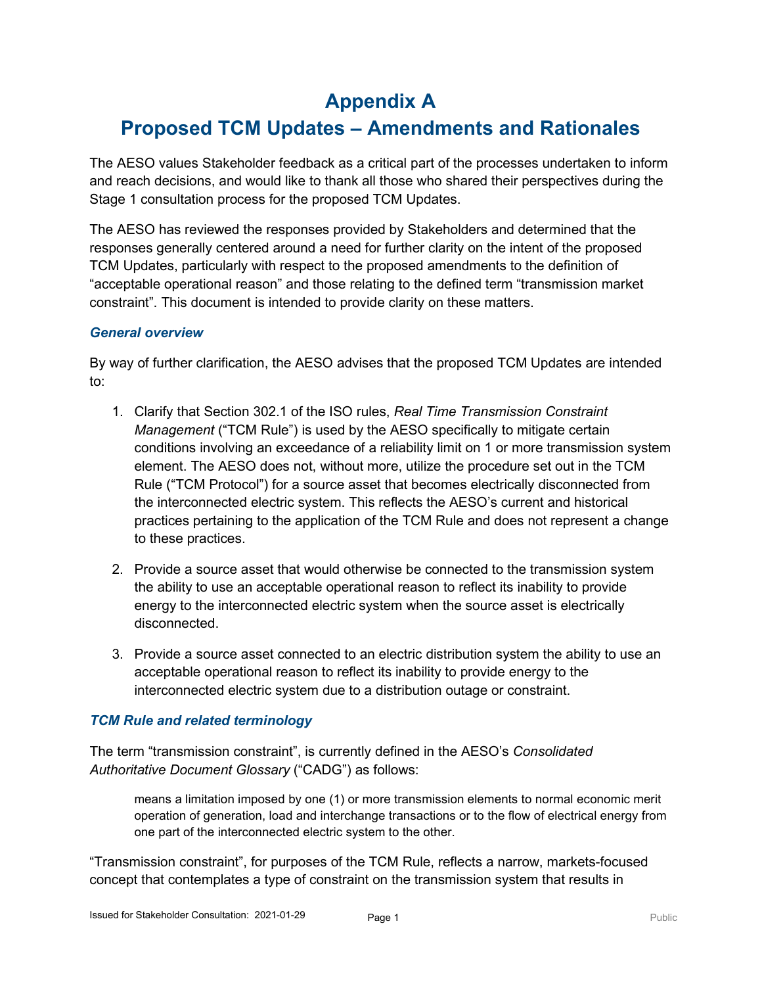## **Appendix A**

# **Proposed TCM Updates – Amendments and Rationales**

The AESO values Stakeholder feedback as a critical part of the processes undertaken to inform and reach decisions, and would like to thank all those who shared their perspectives during the Stage 1 consultation process for the proposed TCM Updates.

The AESO has reviewed the responses provided by Stakeholders and determined that the responses generally centered around a need for further clarity on the intent of the proposed TCM Updates, particularly with respect to the proposed amendments to the definition of "acceptable operational reason" and those relating to the defined term "transmission market constraint". This document is intended to provide clarity on these matters.

### *General overview*

By way of further clarification, the AESO advises that the proposed TCM Updates are intended to:

- 1. Clarify that Section 302.1 of the ISO rules, *Real Time Transmission Constraint Management* ("TCM Rule") is used by the AESO specifically to mitigate certain conditions involving an exceedance of a reliability limit on 1 or more transmission system element. The AESO does not, without more, utilize the procedure set out in the TCM Rule ("TCM Protocol") for a source asset that becomes electrically disconnected from the interconnected electric system. This reflects the AESO's current and historical practices pertaining to the application of the TCM Rule and does not represent a change to these practices.
- 2. Provide a source asset that would otherwise be connected to the transmission system the ability to use an acceptable operational reason to reflect its inability to provide energy to the interconnected electric system when the source asset is electrically disconnected.
- 3. Provide a source asset connected to an electric distribution system the ability to use an acceptable operational reason to reflect its inability to provide energy to the interconnected electric system due to a distribution outage or constraint.

### *TCM Rule and related terminology*

The term "transmission constraint", is currently defined in the AESO's *Consolidated Authoritative Document Glossary* ("CADG") as follows:

means a limitation imposed by one (1) or more transmission elements to normal economic merit operation of generation, load and interchange transactions or to the flow of electrical energy from one part of the interconnected electric system to the other.

"Transmission constraint", for purposes of the TCM Rule, reflects a narrow, markets-focused concept that contemplates a type of constraint on the transmission system that results in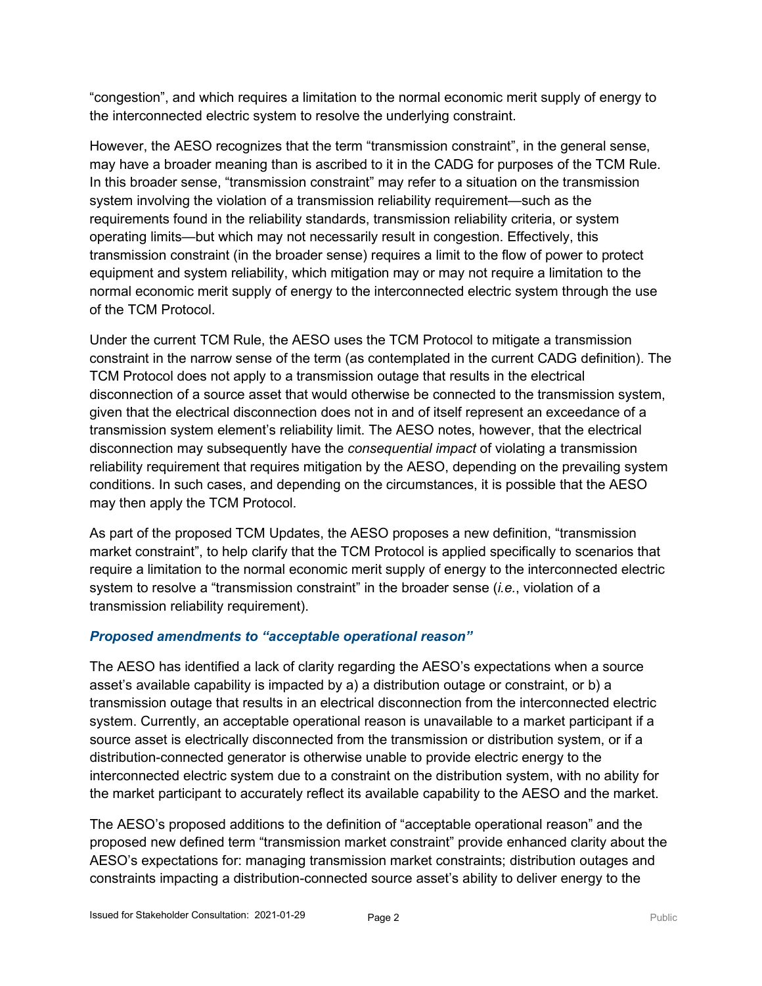"congestion", and which requires a limitation to the normal economic merit supply of energy to the interconnected electric system to resolve the underlying constraint.

However, the AESO recognizes that the term "transmission constraint", in the general sense, may have a broader meaning than is ascribed to it in the CADG for purposes of the TCM Rule. In this broader sense, "transmission constraint" may refer to a situation on the transmission system involving the violation of a transmission reliability requirement—such as the requirements found in the reliability standards, transmission reliability criteria, or system operating limits—but which may not necessarily result in congestion. Effectively, this transmission constraint (in the broader sense) requires a limit to the flow of power to protect equipment and system reliability, which mitigation may or may not require a limitation to the normal economic merit supply of energy to the interconnected electric system through the use of the TCM Protocol.

Under the current TCM Rule, the AESO uses the TCM Protocol to mitigate a transmission constraint in the narrow sense of the term (as contemplated in the current CADG definition). The TCM Protocol does not apply to a transmission outage that results in the electrical disconnection of a source asset that would otherwise be connected to the transmission system, given that the electrical disconnection does not in and of itself represent an exceedance of a transmission system element's reliability limit. The AESO notes, however, that the electrical disconnection may subsequently have the *consequential impact* of violating a transmission reliability requirement that requires mitigation by the AESO, depending on the prevailing system conditions. In such cases, and depending on the circumstances, it is possible that the AESO may then apply the TCM Protocol.

As part of the proposed TCM Updates, the AESO proposes a new definition, "transmission market constraint", to help clarify that the TCM Protocol is applied specifically to scenarios that require a limitation to the normal economic merit supply of energy to the interconnected electric system to resolve a "transmission constraint" in the broader sense (*i.e.*, violation of a transmission reliability requirement).

### *Proposed amendments to "acceptable operational reason"*

The AESO has identified a lack of clarity regarding the AESO's expectations when a source asset's available capability is impacted by a) a distribution outage or constraint, or b) a transmission outage that results in an electrical disconnection from the interconnected electric system. Currently, an acceptable operational reason is unavailable to a market participant if a source asset is electrically disconnected from the transmission or distribution system, or if a distribution-connected generator is otherwise unable to provide electric energy to the interconnected electric system due to a constraint on the distribution system, with no ability for the market participant to accurately reflect its available capability to the AESO and the market.

The AESO's proposed additions to the definition of "acceptable operational reason" and the proposed new defined term "transmission market constraint" provide enhanced clarity about the AESO's expectations for: managing transmission market constraints; distribution outages and constraints impacting a distribution-connected source asset's ability to deliver energy to the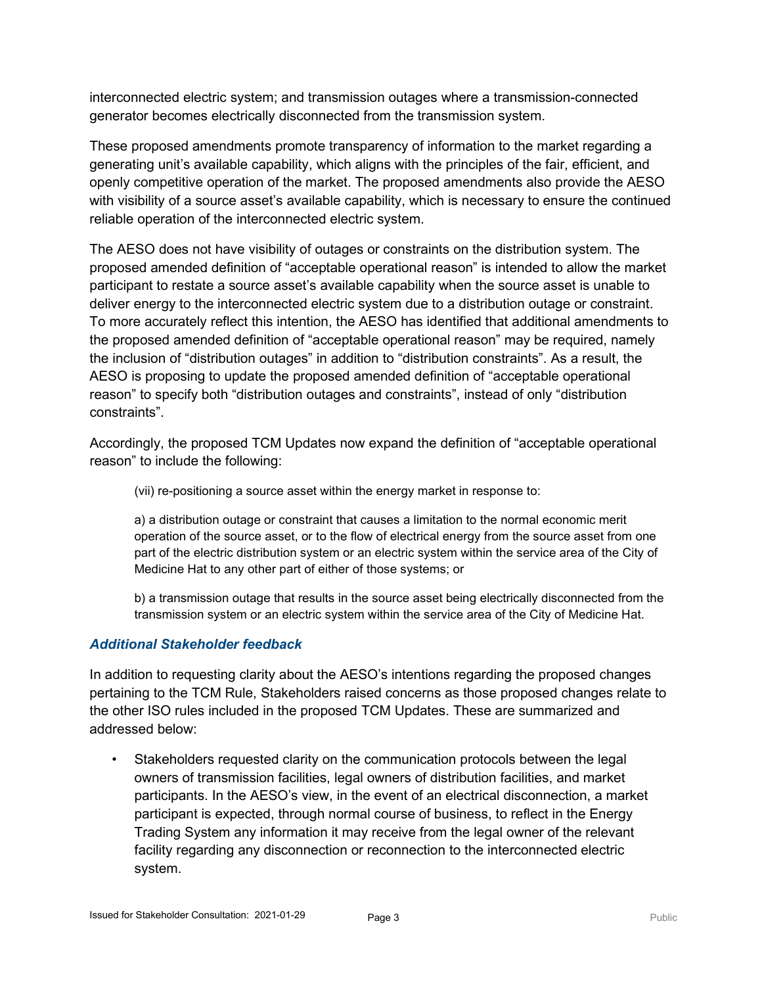interconnected electric system; and transmission outages where a transmission-connected generator becomes electrically disconnected from the transmission system.

These proposed amendments promote transparency of information to the market regarding a generating unit's available capability, which aligns with the principles of the fair, efficient, and openly competitive operation of the market. The proposed amendments also provide the AESO with visibility of a source asset's available capability, which is necessary to ensure the continued reliable operation of the interconnected electric system.

The AESO does not have visibility of outages or constraints on the distribution system. The proposed amended definition of "acceptable operational reason" is intended to allow the market participant to restate a source asset's available capability when the source asset is unable to deliver energy to the interconnected electric system due to a distribution outage or constraint. To more accurately reflect this intention, the AESO has identified that additional amendments to the proposed amended definition of "acceptable operational reason" may be required, namely the inclusion of "distribution outages" in addition to "distribution constraints". As a result, the AESO is proposing to update the proposed amended definition of "acceptable operational reason" to specify both "distribution outages and constraints", instead of only "distribution constraints".

Accordingly, the proposed TCM Updates now expand the definition of "acceptable operational reason" to include the following:

(vii) re-positioning a source asset within the energy market in response to:

a) a distribution outage or constraint that causes a limitation to the normal economic merit operation of the source asset, or to the flow of electrical energy from the source asset from one part of the electric distribution system or an electric system within the service area of the City of Medicine Hat to any other part of either of those systems; or

b) a transmission outage that results in the source asset being electrically disconnected from the transmission system or an electric system within the service area of the City of Medicine Hat.

### *Additional Stakeholder feedback*

In addition to requesting clarity about the AESO's intentions regarding the proposed changes pertaining to the TCM Rule, Stakeholders raised concerns as those proposed changes relate to the other ISO rules included in the proposed TCM Updates. These are summarized and addressed below:

Stakeholders requested clarity on the communication protocols between the legal owners of transmission facilities, legal owners of distribution facilities, and market participants. In the AESO's view, in the event of an electrical disconnection, a market participant is expected, through normal course of business, to reflect in the Energy Trading System any information it may receive from the legal owner of the relevant facility regarding any disconnection or reconnection to the interconnected electric system.